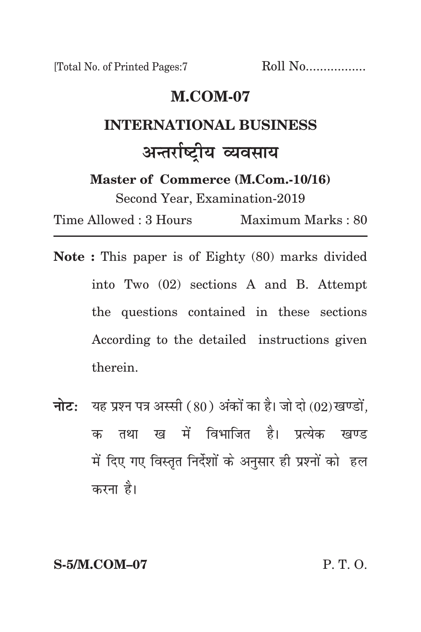[Total No. of Printed Pages:7 Roll No.................

# **m.com-07**

# **international business** अन्तर्राष्ट्रीय **व्यवसाय**

**Master of Commerce (M.Com.-10/16)**

Second Year, Examination-2019

Time Allowed : 3 Hours Maximum Marks : 80

- **Note :** This paper is of Eighty (80) marks divided into Two (02) sections A and B. Attempt the questions contained in these sections According to the detailed instructions given therein.
- **नोट:** यह प्रश्न पत्र अस्सी (80) अंकों का है। जो दो (02) खण्डों, क तथा ख में विभाजित है। प्रत्येक खण्ड में दिए गए विस्तृत निर्देशों के अनुसार ही प्रश्नों को हल करना है।

**S-5/M.COM–07** P. T. O.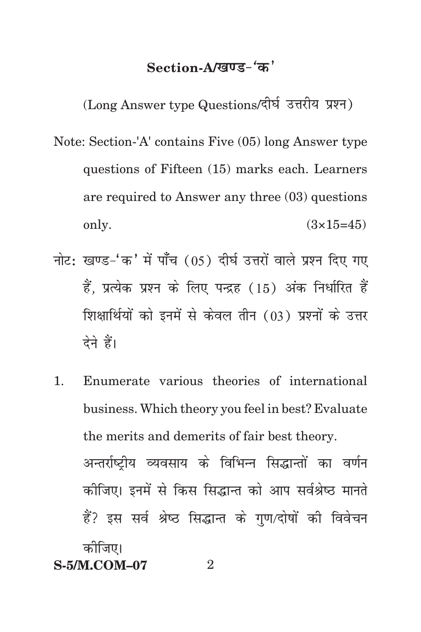## Section-A/**खण्ड-**'क'

(Long Answer type Questions/दीर्घ उत्तरीय प्रश्न)

- Note: Section-'A' contains Five (05) long Answer type questions of Fifteen (15) marks each. Learners are required to Answer any three (03) questions only.  $(3 \times 15 = 45)$
- नोट: खण्ड-'क' में पाँच (05) दीर्घ उत्तरों वाले प्रश्न दिए गए हैं. प्रत्येक प्रश्न के लिए पन्द्रह (15) अंक निर्धारित हैं शिक्षार्थियों को इनमें से केवल तीन (03) प्रश्नों के उत्तर देने हैं।
- 1. Enumerate various theories of international business. Which theory you feel in best? Evaluate the merits and demerits of fair best theory. अन्तर्राष्टीय व्यवसाय के विभिन्न सिद्धान्तों का वर्णन कोजिए। इनमें से किस सिद्धान्त को आप सर्वश्रेष्ठ मानते हैं? इस सर्व श्रेष्ठ सिद्धान्त के गुण/दोषों की विवेचन कोजिए।

**S-5/M.COM–07** 2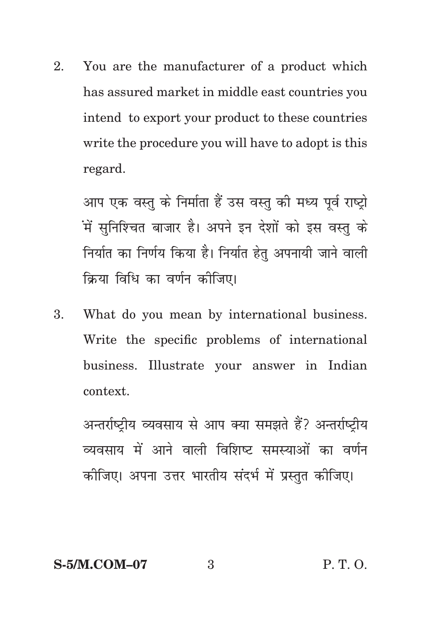2. You are the manufacturer of a product which has assured market in middle east countries you intend to export your product to these countries write the procedure you will have to adopt is this regard.

आप एक वस्तु के निर्माता हैं उस वस्तु की मध्य पूर्व राष्ट्रो .<br>में सुनिश्चित बाजार है। अपने इन देशों को इस वस्तु के निर्यात का निर्णय किया है। निर्यात हेतू अपनायी जाने वाली क्रिया विधि का वर्णन कोजिए।

3. What do you mean by international business. Write the specific problems of international business. Illustrate your answer in Indian context.

अन्तर्राष्ट्रीय व्यवसाय से आप क्या समझते हैं? अन्तर्राष्ट्रीय व्यवसाय में आने वाली विशिष्ट समस्याओं का वर्णन कोजिए। अपना उत्तर भारतीय संदर्भ में प्रस्तुत कोजिए।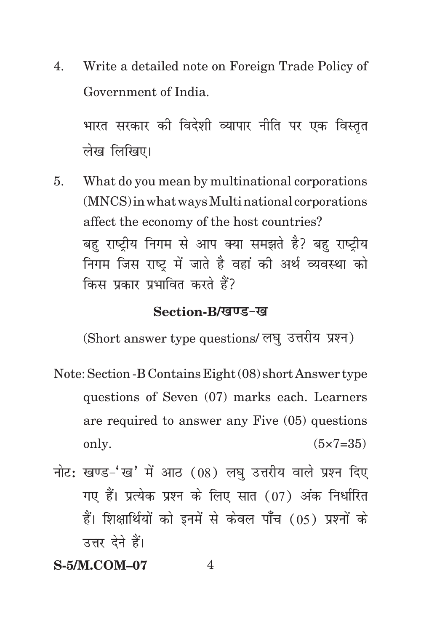4. Write a detailed note on Foreign Trade Policy of Government of India.

भारत सरकार की विदेशी व्यापार नीति पर एक विस्तृत लेख लिखिए।

5. What do you mean by multinational corporations (MNCS) in what ways Multi national corporations affect the economy of the host countries? बह राष्ट्रीय निगम से आप क्या समझते है? बह राष्टीय निगम जिस राष्ट्र में जाते है वहां की अर्थ व्यवस्था को किस प्रकार प्रभावित करते हैं?

#### **Section-B/***ख***ण्ड-ख**

(Short answer type questions/ लघु उत्तरीय प्रश्न)

- Note: Section -B Contains Eight (08) short Answer type questions of Seven (07) marks each. Learners are required to answer any Five (05) questions only.  $(5 \times 7 = 35)$
- नोट: खण्ड-'ख' में आठ  $(08)$  लघ उत्तरीय वाले प्रश्न दिए गए हैं। प्रत्येक प्रश्न के लिए सात (07) अंक निर्धारित हैं। शिक्षार्थियों को इनमें से केवल पाँच (05) प्रश्नों के उत्तर देने हैं।

## **S-5/M.COM–07** 4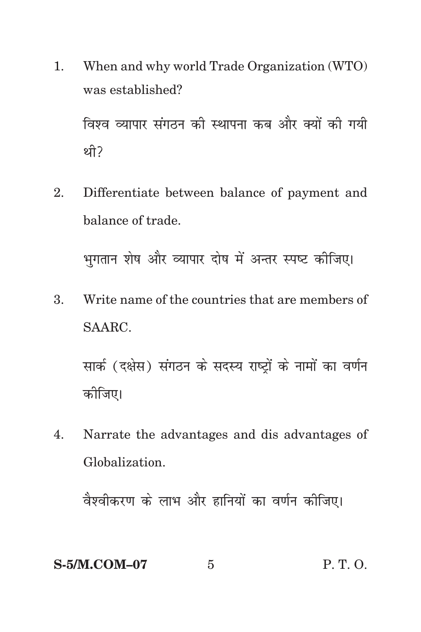1. When and why world Trade Organization (WTO) was established?

विश्व व्यापार संगठन की स्थापना कब और क्यों की गयी थी $\overline{?}$ 

2. Differentiate between balance of payment and balance of trade.

भगतान शेष और व्यापार दोष में अन्तर स्पष्ट कीजिए।

3. Write name of the countries that are members of SAARC.

सार्क (दक्षेस) संगठन के सदस्य राष्ट्रों के नामों का वर्णन कोजिए।

4. Narrate the advantages and dis advantages of Globalization.

वैश्वीकरण के लाभ और हानियों का वर्णन कीजिए।

## **S-5/M.COM–07** 5 P. T. O.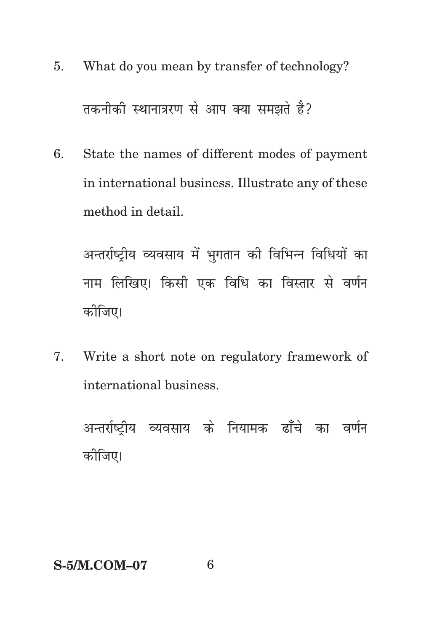- What do you mean by transfer of technology? 5. तकनीकी स्थानात्ररण से आप क्या समझते है?
- State the names of different modes of payment 6. in international business. Illustrate any of these method in detail.

अन्तर्राष्ट्रीय व्यवसाय में भुगतान की विभिन्न विधियों का नाम लिखिए। किसी एक विधि का विस्तार से वर्णन कोजिए।

Write a short note on regulatory framework of 7. international business.

अन्तर्राष्ट्रीय व्यवसाय के नियामक ढाँचे का वर्णन कोजिए।